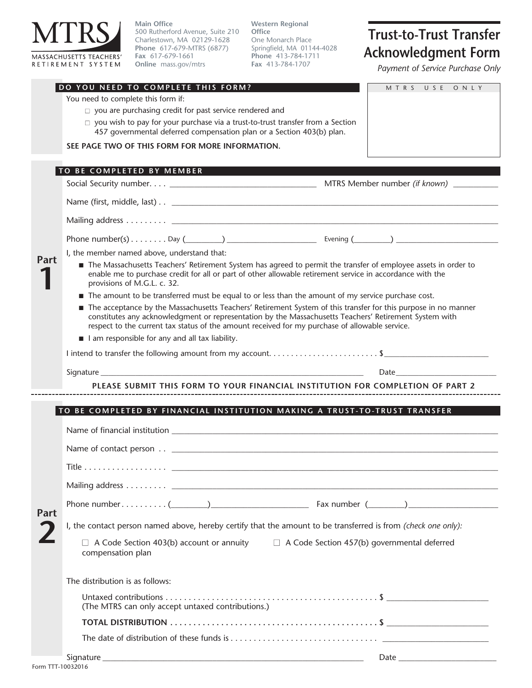

**Main Office** 500 Rutherford Avenue, Suite 210 Charlestown, MA 02129-1628 **Phone** 617-679-MTRS (6877) **Fax** 617-679-1661 **Online** mass.gov/mtrs

**Western Regional Office** One Monarch Place Springfield, MA 01144-4028 **Phone** 413-784-1711 **Fax** 413-784-1707

## **Trust-to-Trust Transfer Acknowledgment Form**

*Payment of Service Purchase Only*

|      | DO YOU NEED TO COMPLETE THIS FORM?                                                                                                                                                                                                                                                                                         | MTRS USE ONLY                                                                                                                                                                                                                  |
|------|----------------------------------------------------------------------------------------------------------------------------------------------------------------------------------------------------------------------------------------------------------------------------------------------------------------------------|--------------------------------------------------------------------------------------------------------------------------------------------------------------------------------------------------------------------------------|
|      | You need to complete this form if:                                                                                                                                                                                                                                                                                         |                                                                                                                                                                                                                                |
|      | $\Box$ you are purchasing credit for past service rendered and                                                                                                                                                                                                                                                             |                                                                                                                                                                                                                                |
|      | $\Box$ you wish to pay for your purchase via a trust-to-trust transfer from a Section<br>457 governmental deferred compensation plan or a Section 403(b) plan.                                                                                                                                                             |                                                                                                                                                                                                                                |
|      | SEE PAGE TWO OF THIS FORM FOR MORE INFORMATION.                                                                                                                                                                                                                                                                            |                                                                                                                                                                                                                                |
|      | TO BE COMPLETED BY MEMBER                                                                                                                                                                                                                                                                                                  |                                                                                                                                                                                                                                |
| Part |                                                                                                                                                                                                                                                                                                                            |                                                                                                                                                                                                                                |
|      |                                                                                                                                                                                                                                                                                                                            |                                                                                                                                                                                                                                |
|      |                                                                                                                                                                                                                                                                                                                            |                                                                                                                                                                                                                                |
|      |                                                                                                                                                                                                                                                                                                                            |                                                                                                                                                                                                                                |
|      | I, the member named above, understand that:                                                                                                                                                                                                                                                                                |                                                                                                                                                                                                                                |
|      | The Massachusetts Teachers' Retirement System has agreed to permit the transfer of employee assets in order to<br>enable me to purchase credit for all or part of other allowable retirement service in accordance with the<br>provisions of M.G.L. c. 32.                                                                 |                                                                                                                                                                                                                                |
|      | The amount to be transferred must be equal to or less than the amount of my service purchase cost.                                                                                                                                                                                                                         |                                                                                                                                                                                                                                |
|      | The acceptance by the Massachusetts Teachers' Retirement System of this transfer for this purpose in no manner<br>constitutes any acknowledgment or representation by the Massachusetts Teachers' Retirement System with<br>respect to the current tax status of the amount received for my purchase of allowable service. |                                                                                                                                                                                                                                |
|      | I am responsible for any and all tax liability.                                                                                                                                                                                                                                                                            |                                                                                                                                                                                                                                |
|      | I intend to transfer the following amount from my account\$                                                                                                                                                                                                                                                                |                                                                                                                                                                                                                                |
|      |                                                                                                                                                                                                                                                                                                                            | Date and the contract of the contract of the contract of the contract of the contract of the contract of the contract of the contract of the contract of the contract of the contract of the contract of the contract of the c |
|      | PLEASE SUBMIT THIS FORM TO YOUR FINANCIAL INSTITUTION FOR COMPLETION OF PART 2                                                                                                                                                                                                                                             |                                                                                                                                                                                                                                |
|      |                                                                                                                                                                                                                                                                                                                            |                                                                                                                                                                                                                                |
|      | TO BE COMPLETED BY FINANCIAL INSTITUTION MAKING A TRUST-TO-TRUST TRANSFER                                                                                                                                                                                                                                                  |                                                                                                                                                                                                                                |
|      |                                                                                                                                                                                                                                                                                                                            |                                                                                                                                                                                                                                |
|      |                                                                                                                                                                                                                                                                                                                            |                                                                                                                                                                                                                                |
|      |                                                                                                                                                                                                                                                                                                                            |                                                                                                                                                                                                                                |
|      | Title                                                                                                                                                                                                                                                                                                                      |                                                                                                                                                                                                                                |
|      |                                                                                                                                                                                                                                                                                                                            |                                                                                                                                                                                                                                |
|      | Phone number( $\qquad)$                                                                                                                                                                                                                                                                                                    |                                                                                                                                                                                                                                |
|      | I, the contact person named above, hereby certify that the amount to be transferred is from (check one only):                                                                                                                                                                                                              |                                                                                                                                                                                                                                |
|      | $\Box$ A Code Section 403(b) account or annuity $\Box$ A Code Section 457(b) governmental deferred<br>compensation plan                                                                                                                                                                                                    |                                                                                                                                                                                                                                |
| Part | The distribution is as follows:                                                                                                                                                                                                                                                                                            |                                                                                                                                                                                                                                |
|      | (The MTRS can only accept untaxed contributions.)                                                                                                                                                                                                                                                                          |                                                                                                                                                                                                                                |
|      |                                                                                                                                                                                                                                                                                                                            |                                                                                                                                                                                                                                |